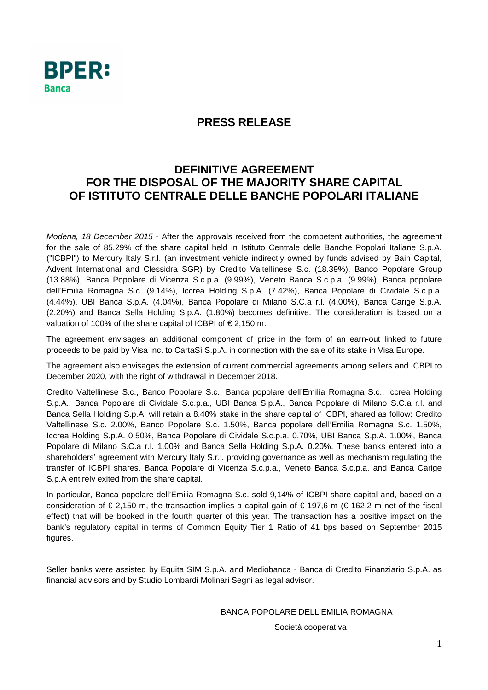

## **PRESS RELEASE**

## **DEFINITIVE AGREEMENT FOR THE DISPOSAL OF THE MAJORITY SHARE CAPITAL OF ISTITUTO CENTRALE DELLE BANCHE POPOLARI ITALIANE**

Modena, 18 December 2015 - After the approvals received from the competent authorities, the agreement for the sale of 85.29% of the share capital held in Istituto Centrale delle Banche Popolari Italiane S.p.A. ("ICBPI") to Mercury Italy S.r.l. (an investment vehicle indirectly owned by funds advised by Bain Capital, Advent International and Clessidra SGR) by Credito Valtellinese S.c. (18.39%), Banco Popolare Group (13.88%), Banca Popolare di Vicenza S.c.p.a. (9.99%), Veneto Banca S.c.p.a. (9.99%), Banca popolare dell'Emilia Romagna S.c. (9.14%), Iccrea Holding S.p.A. (7.42%), Banca Popolare di Cividale S.c.p.a. (4.44%), UBI Banca S.p.A. (4.04%), Banca Popolare di Milano S.C.a r.l. (4.00%), Banca Carige S.p.A. (2.20%) and Banca Sella Holding S.p.A. (1.80%) becomes definitive. The consideration is based on a valuation of 100% of the share capital of ICBPI of  $\epsilon$  2,150 m.

The agreement envisages an additional component of price in the form of an earn-out linked to future proceeds to be paid by Visa Inc. to CartaSì S.p.A. in connection with the sale of its stake in Visa Europe.

The agreement also envisages the extension of current commercial agreements among sellers and ICBPI to December 2020, with the right of withdrawal in December 2018.

Credito Valtellinese S.c., Banco Popolare S.c., Banca popolare dell'Emilia Romagna S.c., Iccrea Holding S.p.A., Banca Popolare di Cividale S.c.p.a., UBI Banca S.p.A., Banca Popolare di Milano S.C.a r.l. and Banca Sella Holding S.p.A. will retain a 8.40% stake in the share capital of ICBPI, shared as follow: Credito Valtellinese S.c. 2.00%, Banco Popolare S.c. 1.50%, Banca popolare dell'Emilia Romagna S.c. 1.50%, Iccrea Holding S.p.A. 0.50%, Banca Popolare di Cividale S.c.p.a. 0.70%, UBI Banca S.p.A. 1.00%, Banca Popolare di Milano S.C.a r.l. 1.00% and Banca Sella Holding S.p.A. 0.20%. These banks entered into a shareholders' agreement with Mercury Italy S.r.l. providing governance as well as mechanism regulating the transfer of ICBPI shares. Banca Popolare di Vicenza S.c.p.a., Veneto Banca S.c.p.a. and Banca Carige S.p.A entirely exited from the share capital.

In particular, Banca popolare dell'Emilia Romagna S.c. sold 9,14% of ICBPI share capital and, based on a consideration of  $\epsilon$  2,150 m, the transaction implies a capital gain of  $\epsilon$  197,6 m ( $\epsilon$  162,2 m net of the fiscal effect) that will be booked in the fourth quarter of this year. The transaction has a positive impact on the bank's regulatory capital in terms of Common Equity Tier 1 Ratio of 41 bps based on September 2015 figures.

Seller banks were assisted by Equita SIM S.p.A. and Mediobanca - Banca di Credito Finanziario S.p.A. as financial advisors and by Studio Lombardi Molinari Segni as legal advisor.

BANCA POPOLARE DELL'EMILIA ROMAGNA

Società cooperativa